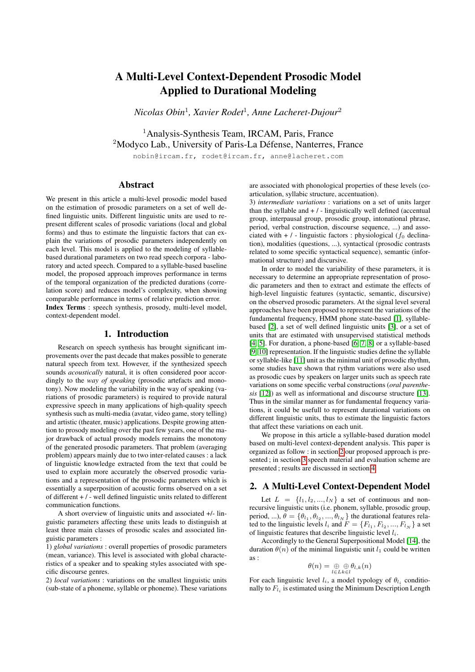# A Multi-Level Context-Dependent Prosodic Model Applied to Durational Modeling

*Nicolas Obin*<sup>1</sup> *, Xavier Rodet*<sup>1</sup> *, Anne Lacheret-Dujour*<sup>2</sup>

<sup>1</sup> Analysis-Synthesis Team, IRCAM, Paris, France <sup>2</sup>Modyco Lab., University of Paris-La Défense, Nanterres, France

nobin@ircam.fr, rodet@ircam.fr, anne@lacheret.com

## Abstract

We present in this article a multi-level prosodic model based on the estimation of prosodic parameters on a set of well defined linguistic units. Different linguistic units are used to represent different scales of prosodic variations (local and global forms) and thus to estimate the linguistic factors that can explain the variations of prosodic parameters independently on each level. This model is applied to the modeling of syllablebased durational parameters on two read speech corpora - laboratory and acted speech. Compared to a syllable-based baseline model, the proposed approach improves performance in terms of the temporal organization of the predicted durations (correlation score) and reduces model's complexity, when showing comparable performance in terms of relative prediction error. Index Terms : speech synthesis, prosody, multi-level model, context-dependent model.

### 1. Introduction

Research on speech synthesis has brought significant improvements over the past decade that makes possible to generate natural speech from text. However, if the synthesized speech sounds *acoustically* natural, it is often considered poor accordingly to the *way of speaking* (prosodic artefacts and monotony). Now modeling the variability in the way of speaking (variations of prosodic parameters) is required to provide natural expressive speech in many applications of high-quality speech synthesis such as multi-media (avatar, video game, story telling) and artistic (theater, music) applications. Despite growing attention to prosody modeling over the past few years, one of the major drawback of actual prosody models remains the monotony of the generated prosodic parameters. That problem (averaging problem) appears mainly due to two inter-related causes : a lack of linguistic knowledge extracted from the text that could be used to explain more accurately the observed prosodic variations and a representation of the prosodic parameters which is essentially a superposition of acoustic forms observed on a set of different  $+$  / - well defined linguistic units related to different communication functions.

A short overview of linguistic units and associated +/- linguistic parameters affecting these units leads to distinguish at least three main classes of prosodic scales and associated linguistic parameters :

1) *global variations* : overall properties of prosodic parameters (mean, variance). This level is associated with global characteristics of a speaker and to speaking styles associated with specific discourse genres.

2) *local variations* : variations on the smallest linguistic units (sub-state of a phoneme, syllable or phoneme). These variations are associated with phonological properties of these levels (coarticulation, syllabic structure, accentuation).

3) *intermediate variations* : variations on a set of units larger than the syllable and  $+$  /  $-$  linguistically well defined (accentual group, interpausal group, prosodic group, intonational phrase, period, verbal construction, discourse sequence, ...) and associated with  $+$  / - linguistic factors : physiological ( $f_0$  declination), modalities (questions, ...), syntactical (prosodic contrasts related to some specific syntactical sequence), semantic (informational structure) and discursive.

In order to model the variability of these parameters, it is necessary to determine an appropriate representation of prosodic parameters and then to extract and estimate the effects of high-level linguistic features (syntactic, semantic, discursive) on the observed prosodic parameters. At the signal level several approaches have been proposed to represent the variations of the fundamental frequency, HMM phone state-based [\[1\]](#page-3-0), syllablebased [\[2\]](#page-3-1), a set of well defined linguistic units [\[3\]](#page-3-2), or a set of units that are estimated with unsupervised statistical methods [\[4,](#page-3-3) [5\]](#page-3-4). For duration, a phone-based [\[6,](#page-3-5) [7,](#page-3-6) [8\]](#page-3-7) or a syllable-based [\[9,](#page-3-8) [10\]](#page-3-9) representation. If the linguistic studies define the syllable or syllable-like [\[11\]](#page-3-10) unit as the minimal unit of prosodic rhythm, some studies have shown that rythm variations were also used as prosodic cues by speakers on larger units such as speech rate variations on some specific verbal constructions (*oral parenthesis* [\[12\]](#page-3-11)) as well as informational and discourse structure [\[13\]](#page-3-12). Thus in the similar manner as for fundamental frequency variations, it could be usefull to represent durational variations on different linguistic units, thus to estimate the linguistic factors that affect these variations on each unit.

We propose in this article a syllable-based duration model based on multi-level context-dependent analysis. This paper is organized as follow : in section [2](#page-0-0) our proposed approach is presented ; in section [3](#page-1-0) speech material and evaluation scheme are presented ; results are discussed in section [4.](#page-2-0)

## <span id="page-0-0"></span>2. A Multi-Level Context-Dependent Model

Let  $L = \{l_1, l_2, ..., l_N\}$  a set of continuous and nonrecursive linguistic units (i.e. phonem, syllable, prosodic group, period, ...),  $\theta = {\theta_{l_1}, \theta_{l_2}, ..., \theta_{l_N}}$  the durational features related to the linguistic levels  $l_i$  and  $F = \{F_{l_1}, F_{l_2}, ..., F_{l_N}\}$  a set of linguistic features that describe linguistic level  $l_i$ .

Accordingly to the General Superpositional Model [\[14\]](#page-3-13), the duration  $\theta(n)$  of the minimal linguistic unit  $l_1$  could be written as :

$$
\theta(n) = \underset{l \in L}{\oplus} \underset{k \in l}{\oplus} \theta_{l,k}(n)
$$

For each linguistic level  $l_i$ , a model typology of  $\theta_{l_i}$  conditionally to  $F_{l_i}$  is estimated using the Minimum Description Length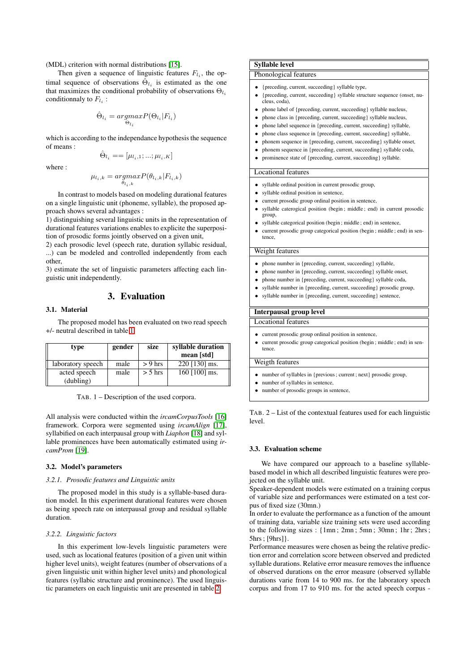(MDL) criterion with normal distributions [\[15\]](#page-3-14).

Then given a sequence of linguistic features  $F_{l_i}$ , the optimal sequence of observations  $\hat{\Theta}_{l_i}$  is estimated as the one that maximizes the conditional probability of observations  $\Theta_{l_i}$ conditionnaly to  $F_{l_i}$ :

$$
\hat{\Theta}_{l_i} = \underset{\Theta_{l_i}}{\operatorname{argmax}} P(\Theta_{l_i} | F_{l_i})
$$

which is according to the independance hypothesis the sequence of means :

 $\hat{\Theta}_{l_i} = = [\mu_{l_i,1};...;\mu_{l_i,K}]$ 

where :

$$
\mu_{l_i,k} = \underset{\theta_{l_i,k}}{argmax} P(\theta_{l_i,k}|F_{l_i,k})
$$

In contrast to models based on modeling durational features on a single linguistic unit (phoneme, syllable), the proposed approach shows several advantages :

1) distinguishing several linguistic units in the representation of durational features variations enables to explicite the superposition of prosodic forms jointly observed on a given unit,

2) each prosodic level (speech rate, duration syllabic residual, ...) can be modeled and controlled independently from each other,

3) estimate the set of linguistic parameters affecting each linguistic unit independently.

## 3. Evaluation

### <span id="page-1-0"></span>3.1. Material

The proposed model has been evaluated on two read speech +/- neutral described in table [1.](#page-1-1)

| type                      | gender | size      | syllable duration |  |
|---------------------------|--------|-----------|-------------------|--|
|                           |        |           | mean [std]        |  |
| laboratory speech         | male   | $> 9$ hrs | $220$ [130] ms.   |  |
| acted speech<br>(dubling) | male   | $> 5$ hrs | 160 [100] ms.     |  |

<span id="page-1-1"></span>TAB. 1 – Description of the used corpora.

All analysis were conducted within the *ircamCorpusTools* [\[16\]](#page-3-15) framework. Corpora were segmented using *ircamAlign* [\[17\]](#page-3-16), syllabified on each interpausal group with *Liaphon* [\[18\]](#page-3-17) and syllable prominences have been automatically estimated using *ircamProm* [\[19\]](#page-3-18).

#### 3.2. Model's parameters

#### *3.2.1. Prosodic features and Linguistic units*

The proposed model in this study is a syllable-based duration model. In this experiment durational features were chosen as being speech rate on interpausal group and residual syllable duration.

#### *3.2.2. Linguistic factors*

In this experiment low-levels linguistic parameters were used, such as locational features (position of a given unit within higher level units), weight features (number of observations of a given linguistic unit within higher level units) and phonological features (syllabic structure and prominence). The used linguistic parameters on each linguistic unit are presented in table [2.](#page-1-2)

### Syllable level

Phonological features

- {preceding, current, succeeding} syllable type,
- {preceding, current, succeeding} syllable structure sequence (onset, nu-cleus, coda),
- phone label of {preceding, current, succeeding} syllable nucleus,
- phone class in {preceding, current, succeeding} syllable nucleus,
- phone label sequence in {preceding, current, succeeding} syllable,
- phone class sequence in {preceding, current, succeeding} syllable,
- phonem sequence in {preceding, current, succeeding} syllable onset,
- phonem sequence in {preceding, current, succeeding} syllable coda, • prominence state of {preceding, current, succeeding} syllable.

#### Locational features

- syllable ordinal position in current prosodic group,
- syllable ordinal position in sentence,
- current prosodic group ordinal position in sentence,
- syllable caterogical position (begin ; middle ; end) in current prosodic group,
	- syllable categorical position (begin ; middle ; end) in sentence,
- current prosodic group categorical position (begin ; middle ; end) in sentence,

## Weight features

- phone number in {preceding, current, succeeding} syllable,
- phone number in {preceding, current, succeeding} syllable onset,
- phone number in {preceding, current, succeeding} syllable coda,
- syllable number in {preceding, current, succeeding} prosodic group,
- syllable number in {preceding, current, succeeding} sentence,

#### Interpausal group level

Locational features

- current prosodic group ordinal position in sentence.
- current prosodic group categorical position (begin ; middle ; end) in sentence.

## Weigth features

- number of syllables in  ${previous: current: next}$  prosodic group.
- number of syllables in sentence,
- number of prosodic groups in sentence.

<span id="page-1-2"></span>TAB. 2 – List of the contextual features used for each linguistic level.

#### 3.3. Evaluation scheme

We have compared our approach to a baseline syllablebased model in which all described linguistic features were projected on the syllable unit.

Speaker-dependent models were estimated on a training corpus of variable size and performances were estimated on a test corpus of fixed size (30mn.)

In order to evaluate the performance as a function of the amount of training data, variable size training sets were used according to the following sizes : {1mn ; 2mn ; 5mn ; 30mn ; 1hr ; 2hrs ; 5hrs ; [9hrs]}.

Performance measures were chosen as being the relative prediction error and correlation score between observed and predicted syllable durations. Relative error measure removes the influence of observed durations on the error measure (observed syllable durations varie from 14 to 900 ms. for the laboratory speech corpus and from 17 to 910 ms. for the acted speech corpus -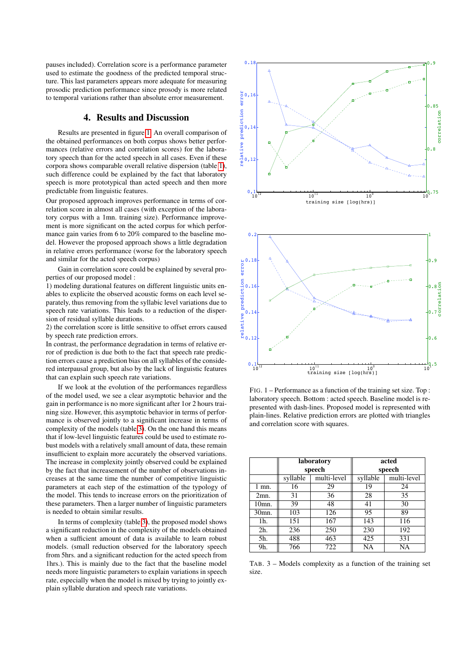pauses included). Correlation score is a performance parameter used to estimate the goodness of the predicted temporal structure. This last parameters appears more adequate for measuring prosodic prediction performance since prosody is more related to temporal variations rather than absolute error measurement.

## 4. Results and Discussion

<span id="page-2-0"></span>Results are presented in figure [1.](#page-2-1) An overall comparison of the obtained performances on both corpus shows better performances (relative errors and correlation scores) for the laboratory speech than for the acted speech in all cases. Even if these corpora shows comparable overall relative dispersion (table [1\)](#page-1-1), such difference could be explained by the fact that laboratory speech is more prototypical than acted speech and then more predictable from linguistic features.

Our proposed approach improves performance in terms of correlation score in almost all cases (with exception of the laboratory corpus with a 1mn. training size). Performance improvement is more significant on the acted corpus for which performance gain varies from 6 to 20% compared to the baseline model. However the proposed approach shows a little degradation in relative errors performance (worse for the laboratory speech and similar for the acted speech corpus)

Gain in correlation score could be explained by several properties of our proposed model :

1) modeling durational features on different linguistic units enables to explicite the observed acoustic forms on each level separately, thus removing from the syllabic level variations due to speech rate variations. This leads to a reduction of the dispersion of residual syllable durations.

2) the correlation score is little sensitive to offset errors caused by speech rate prediction errors.

In contrast, the performance degradation in terms of relative error of prediction is due both to the fact that speech rate prediction errors cause a prediction bias on all syllables of the considered interpausal group, but also by the lack of linguistic features that can explain such speech rate variations.

If we look at the evolution of the performances regardless of the model used, we see a clear asymptotic behavior and the gain in performance is no more significant after 1or 2 hours training size. However, this asymptotic behavior in terms of performance is observed jointly to a significant increase in terms of complexity of the models (table [3\)](#page-2-2). On the one hand this means that if low-level linguistic features could be used to estimate robust models with a relatively small amount of data, these remain insufficient to explain more accurately the observed variations. The increase in complexity jointly observed could be explained by the fact that increasement of the number of observations increases at the same time the number of competitive linguistic parameters at each step of the estimattion of the typology of the model. This tends to increase errors on the prioritization of these parameters. Then a larger number of linguistic parameters is needed to obtain similar results.

In terms of complexity (table [3\)](#page-2-2), the proposed model shows a significant reduction in the complexity of the models obtained when a sufficient amount of data is available to learn robust models. (small reduction observed for the laboratory speech from 5hrs. and a significant reduction for the acted speech from 1hrs.). This is mainly due to the fact that the baseline model needs more linguistic parameters to explain variations in speech rate, especially when the model is mixed by trying to jointly explain syllable duration and speech rate variations.



<span id="page-2-1"></span>FIG. 1 – Performance as a function of the training set size. Top : laboratory speech. Bottom : acted speech. Baseline model is represented with dash-lines. Proposed model is represented with plain-lines. Relative prediction errors are plotted with triangles and correlation score with squares.

|                    | laboratory<br>speech |             | acted    |             |
|--------------------|----------------------|-------------|----------|-------------|
|                    |                      |             | speech   |             |
|                    | syllable             | multi-level | syllable | multi-level |
| $1$ mn.            | 16                   | 29          | 19       | 24          |
| 2mn.               | 31                   | 36          | 28       | 35          |
| 10mn.              | 39                   | 48          | 41       | 30          |
| 30 <sub>mn</sub> . | 103                  | 126         | 95       | 89          |
| 1h.                | 151                  | 167         | 143      | 116         |
| 2 <sub>h</sub>     | 236                  | 250         | 230      | 192         |
| 5h.                | 488                  | 463         | 425      | 331         |
| 9h.                | 766                  | 722         | NA       | NA          |

<span id="page-2-2"></span>TAB. 3 – Models complexity as a function of the training set size.